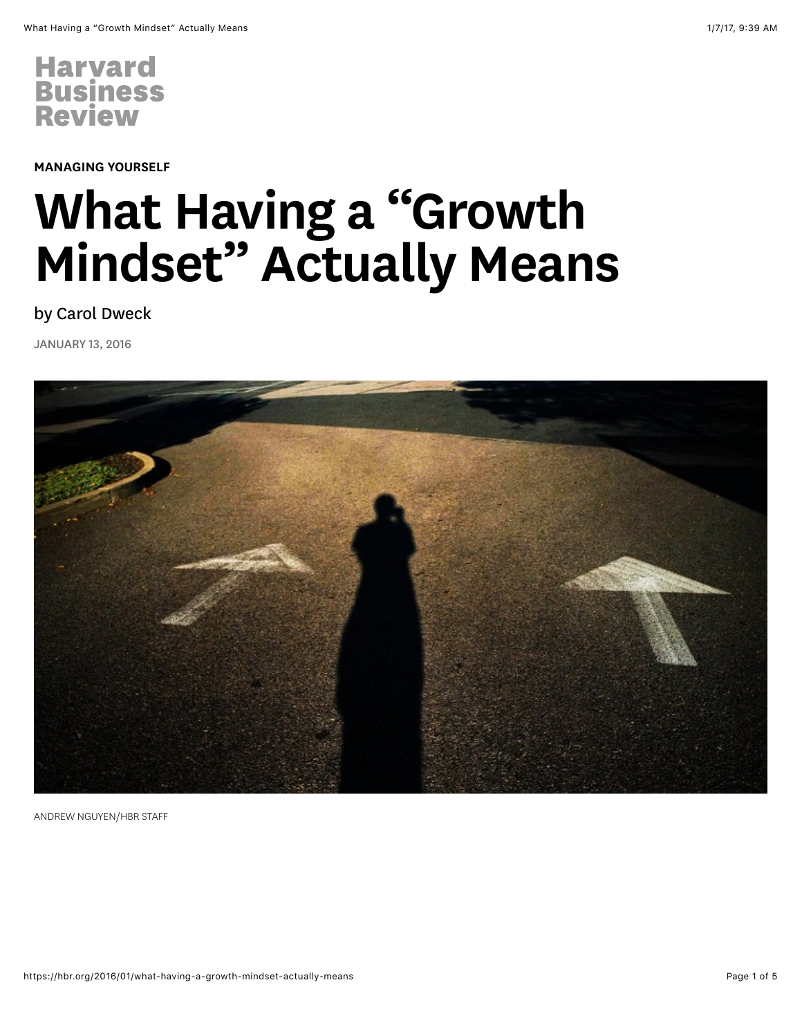

[MANAGING YOURSELF](https://hbr.org/topic/managing-yourself)

## What Having a "Growth Mindset" Actually Means

by [Carol Dweck](https://hbr.org/search?term=carol+dweck)

JANUARY 13, 2016



ANDREW NGUYEN/HBR STAFF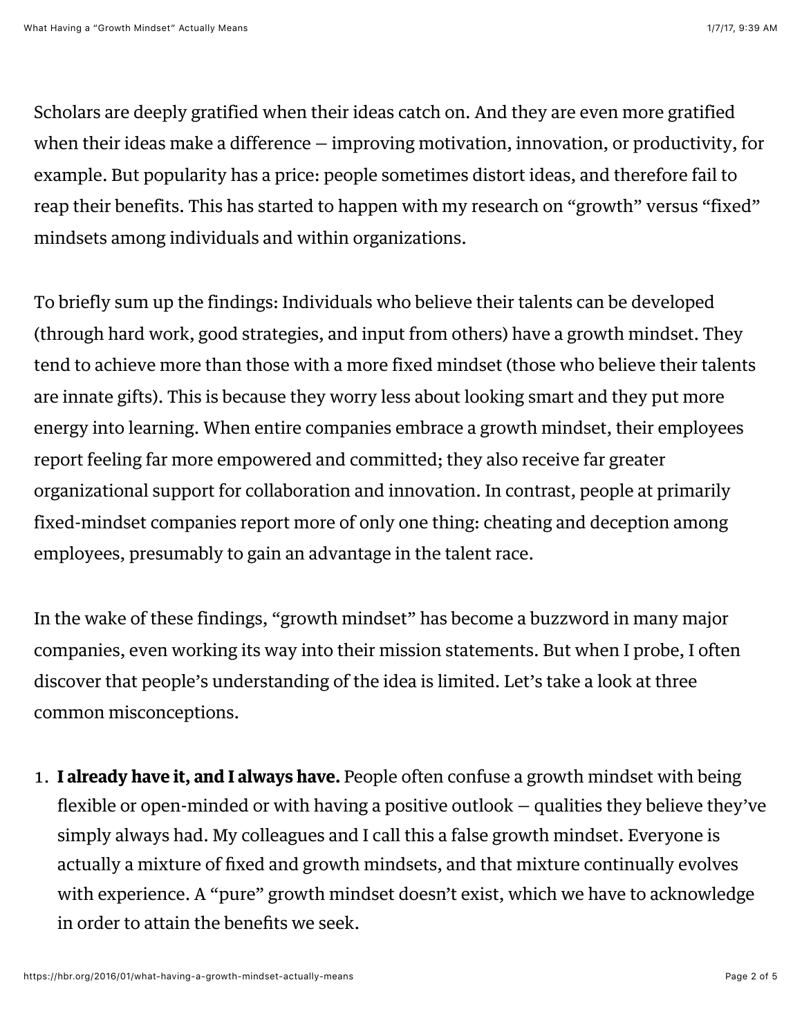Scholars are deeply gratified when their ideas catch on. And they are even more gratified when their ideas make a difference — improving motivation, innovation, or productivity, for example. But popularity has a price: people sometimes distort ideas, and therefore fail to reap their benefits. This has started to happen with my research on "growth" versus "fixed" mindsets among individuals and within organizations.

To briefly sum up the findings: Individuals who believe their talents can be developed (through hard work, good strategies, and input from others) have a growth mindset. They tend to achieve more than those with a more fixed mindset (those who believe their talents are innate gifts). This is because they worry less about looking smart and they put more energy into learning. When entire [companies embrace a growth mindset,](https://hbr.org/2014/11/how-companies-can-profit-from-a-growth-mindset) their employees report feeling far more empowered and committed; they also receive far greater organizational support for collaboration and innovation. In contrast, people at primarily fixed-mindset companies report more of only one thing: cheating and deception among employees, presumably to gain an advantage in the talent race.

In the wake of these findings, "growth mindset" has become a buzzword in many major companies, even working its way into their mission statements. But when I probe, I often discover that people's understanding of the idea is limited. Let's take a look at three common misconceptions.

1. I already have it, and I always have. People often confuse a growth mindset with being flexible or open-minded or with having a positive outlook — qualities they believe they've simply always had. My colleagues and I call this a false growth mindset. Everyone is actually a mixture of fixed and growth mindsets, and that mixture continually evolves with experience. A "pure" growth mindset doesn't exist, which we have to acknowledge in order to attain the benefits we seek.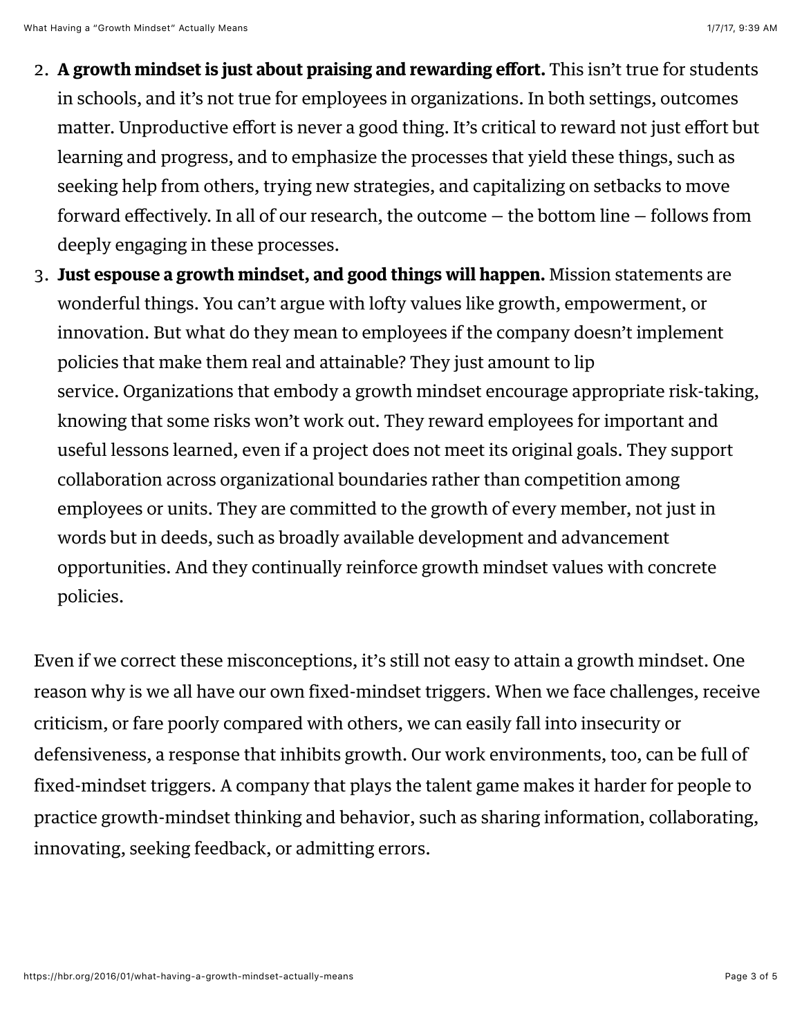- 2. A growth mindset is just about praising and rewarding effort. This isn't true for students in schools, and it's not true for employees in organizations. In both settings, outcomes matter. Unproductive effort is never a good thing. It's critical to reward not just effort but learning and progress, and to emphasize the processes that yield these things, such as seeking help from others, trying new strategies, and capitalizing on setbacks to move forward effectively. In all of our research, the outcome — the bottom line — follows from deeply engaging in these processes.
- 3. Just espouse a growth mindset, and good things will happen. Mission statements are wonderful things. You can't argue with lofty values like growth, empowerment, or innovation. But what do they mean to employees if the company doesn't implement policies that make them real and attainable? They just amount to lip service. Organizations that embody a growth mindset encourage appropriate risk-taking, knowing that some risks won't work out. They reward employees for important and useful lessons learned, even if a project does not meet its original goals. They support collaboration across organizational boundaries rather than competition among employees or units. They are committed to the growth of every member, not just in words but in deeds, such as broadly available development and advancement opportunities. And they continually reinforce growth mindset values with concrete policies.

Even if we correct these misconceptions, it's still not easy to attain a growth mindset. One reason why is we all have our own fixed-mindset triggers. When we face challenges, receive criticism, or fare poorly compared with others, we can easily fall into insecurity or defensiveness, a response that inhibits growth. Our work environments, too, can be full of fixed-mindset triggers. A company that plays the talent game makes it harder for people to practice growth-mindset thinking and behavior, such as sharing information, collaborating, innovating, seeking feedback, or admitting errors.